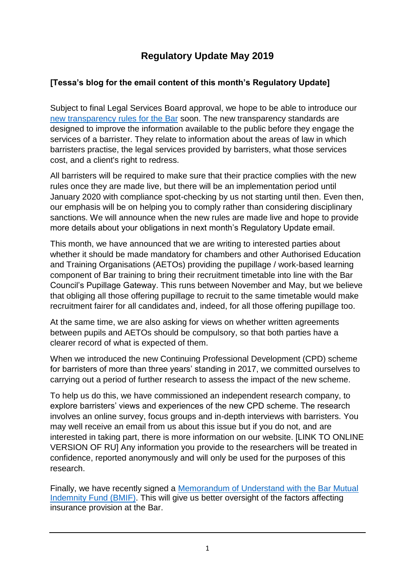# **Regulatory Update May 2019**

# **[Tessa's blog for the email content of this month's Regulatory Update]**

Subject to final Legal Services Board approval, we hope to be able to introduce our [new transparency rules for the Bar](https://www.barstandardsboard.org.uk/media-centre/press-releases-and-news/bsb-agrees-new-transparency-rules-for-the-bar/) soon. The new transparency standards are designed to improve the information available to the public before they engage the services of a barrister. They relate to information about the areas of law in which barristers practise, the legal services provided by barristers, what those services cost, and a client's right to redress.

All barristers will be required to make sure that their practice complies with the new rules once they are made live, but there will be an implementation period until January 2020 with compliance spot-checking by us not starting until then. Even then, our emphasis will be on helping you to comply rather than considering disciplinary sanctions. We will announce when the new rules are made live and hope to provide more details about your obligations in next month's Regulatory Update email.

This month, we have announced that we are writing to interested parties about whether it should be made mandatory for chambers and other Authorised Education and Training Organisations (AETOs) providing the pupillage / work-based learning component of Bar training to bring their recruitment timetable into line with the Bar Council's Pupillage Gateway. This runs between November and May, but we believe that obliging all those offering pupillage to recruit to the same timetable would make recruitment fairer for all candidates and, indeed, for all those offering pupillage too.

At the same time, we are also asking for views on whether written agreements between pupils and AETOs should be compulsory, so that both parties have a clearer record of what is expected of them.

When we introduced the new Continuing Professional Development (CPD) scheme for barristers of more than three years' standing in 2017, we committed ourselves to carrying out a period of further research to assess the impact of the new scheme.

To help us do this, we have commissioned an independent research company, to explore barristers' views and experiences of the new CPD scheme. The research involves an online survey, focus groups and in-depth interviews with barristers. You may well receive an email from us about this issue but if you do not, and are interested in taking part, there is more information on our website. [LINK TO ONLINE VERSION OF RU] Any information you provide to the researchers will be treated in confidence, reported anonymously and will only be used for the purposes of this research.

Finally, we have recently signed a [Memorandum of Understand with the Bar Mutual](https://www.barstandardsboard.org.uk/media/1987027/memorandum_of_understanding_between_the_bsb_and_bmif.pdf)  [Indemnity Fund \(BMIF\).](https://www.barstandardsboard.org.uk/media/1987027/memorandum_of_understanding_between_the_bsb_and_bmif.pdf) This will give us better oversight of the factors affecting insurance provision at the Bar.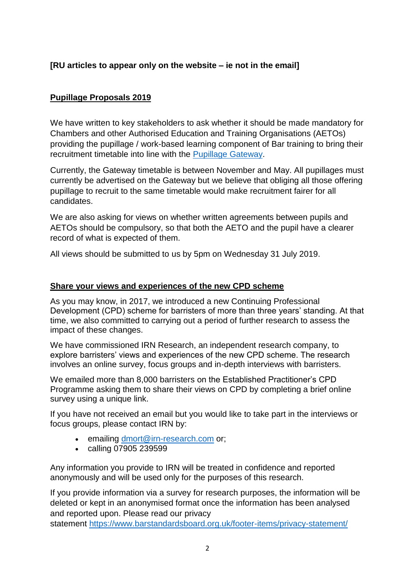## **[RU articles to appear only on the website – ie not in the email]**

### **Pupillage Proposals 2019**

We have written to key stakeholders to ask whether it should be made mandatory for Chambers and other Authorised Education and Training Organisations (AETOs) providing the pupillage / work-based learning component of Bar training to bring their recruitment timetable into line with the [Pupillage Gateway.](https://www.pupillagegateway.com/applicant-home/timetable/)

Currently, the Gateway timetable is between November and May. All pupillages must currently be advertised on the Gateway but we believe that obliging all those offering pupillage to recruit to the same timetable would make recruitment fairer for all candidates.

We are also asking for views on whether written agreements between pupils and AETOs should be compulsory, so that both the AETO and the pupil have a clearer record of what is expected of them.

All views should be submitted to us by 5pm on Wednesday 31 July 2019.

#### **Share your views and experiences of the new CPD scheme**

As you may know, in 2017, we introduced a new Continuing Professional Development (CPD) scheme for barristers of more than three years' standing. At that time, we also committed to carrying out a period of further research to assess the impact of these changes.

We have commissioned IRN Research, an independent research company, to explore barristers' views and experiences of the new CPD scheme. The research involves an online survey, focus groups and in-depth interviews with barristers.

We emailed more than 8,000 barristers on the Established Practitioner's CPD Programme asking them to share their views on CPD by completing a brief online survey using a unique link.

If you have not received an email but you would like to take part in the interviews or focus groups, please contact IRN by:

- emailing [dmort@irn-research.com](mailto:dmort@irn-research.com) or;
- calling 07905 239599

Any information you provide to IRN will be treated in confidence and reported anonymously and will be used only for the purposes of this research.

If you provide information via a survey for research purposes, the information will be deleted or kept in an anonymised format once the information has been analysed and reported upon. Please read our privacy

statement [https://www.barstandardsboard.org.uk/footer-items/privacy-statement/](https://barstandardsboardemail.org/t/4HUI-JQ10-1YW2CG-EBMTK-1/c.aspx)